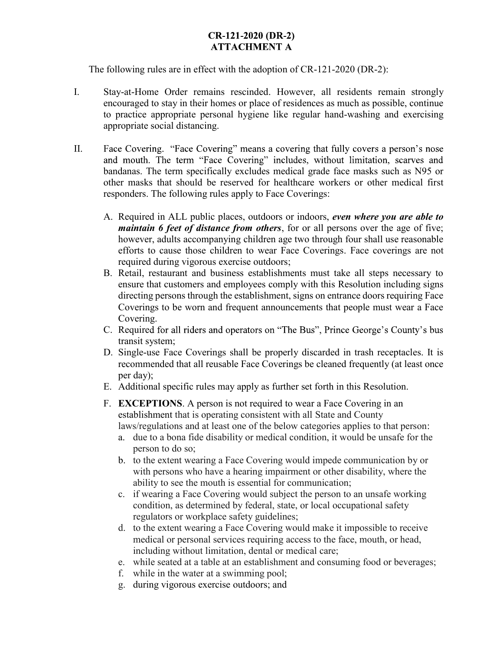The following rules are in effect with the adoption of CR-121-2020 (DR-2):

- I. Stay-at-Home Order remains rescinded. However, all residents remain strongly encouraged to stay in their homes or place of residences as much as possible, continue to practice appropriate personal hygiene like regular hand-washing and exercising appropriate social distancing.
- II. Face Covering. "Face Covering" means a covering that fully covers a person's nose and mouth. The term "Face Covering" includes, without limitation, scarves and bandanas. The term specifically excludes medical grade face masks such as N95 or other masks that should be reserved for healthcare workers or other medical first responders. The following rules apply to Face Coverings:
	- A. Required in ALL public places, outdoors or indoors, even where you are able to maintain 6 feet of distance from others, for or all persons over the age of five; however, adults accompanying children age two through four shall use reasonable efforts to cause those children to wear Face Coverings. Face coverings are not required during vigorous exercise outdoors;
	- B. Retail, restaurant and business establishments must take all steps necessary to ensure that customers and employees comply with this Resolution including signs directing persons through the establishment, signs on entrance doors requiring Face Coverings to be worn and frequent announcements that people must wear a Face Covering.
	- C. Required for all riders and operators on "The Bus", Prince George's County's bus transit system;
	- D. Single-use Face Coverings shall be properly discarded in trash receptacles. It is recommended that all reusable Face Coverings be cleaned frequently (at least once per day);
	- E. Additional specific rules may apply as further set forth in this Resolution.
	- F. EXCEPTIONS. A person is not required to wear a Face Covering in an establishment that is operating consistent with all State and County laws/regulations and at least one of the below categories applies to that person:
		- a. due to a bona fide disability or medical condition, it would be unsafe for the person to do so;
		- b. to the extent wearing a Face Covering would impede communication by or with persons who have a hearing impairment or other disability, where the ability to see the mouth is essential for communication;
		- c. if wearing a Face Covering would subject the person to an unsafe working condition, as determined by federal, state, or local occupational safety regulators or workplace safety guidelines;
		- d. to the extent wearing a Face Covering would make it impossible to receive medical or personal services requiring access to the face, mouth, or head, including without limitation, dental or medical care;
		- e. while seated at a table at an establishment and consuming food or beverages;
		- f. while in the water at a swimming pool;
		- g. during vigorous exercise outdoors; and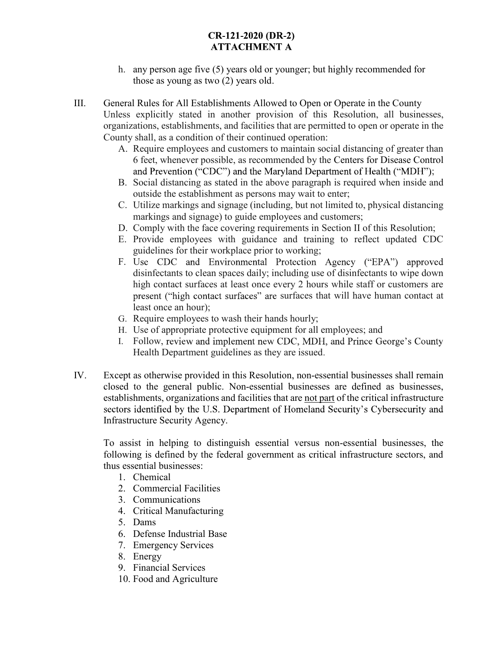- h. any person age five (5) years old or younger; but highly recommended for those as young as two (2) years old.
- III. General Rules for All Establishments Allowed to Open or Operate in the County Unless explicitly stated in another provision of this Resolution, all businesses, organizations, establishments, and facilities that are permitted to open or operate in the County shall, as a condition of their continued operation:
	- A. Require employees and customers to maintain social distancing of greater than 6 feet, whenever possible, as recommended by the Centers for Disease Control ;
	- B. Social distancing as stated in the above paragraph is required when inside and outside the establishment as persons may wait to enter;
	- C. Utilize markings and signage (including, but not limited to, physical distancing markings and signage) to guide employees and customers;
	- D. Comply with the face covering requirements in Section II of this Resolution;
	- E. Provide employees with guidance and training to reflect updated CDC guidelines for their workplace prior to working;
	- F. Use CDC and Environmental Protection Agency ("EPA") approved disinfectants to clean spaces daily; including use of disinfectants to wipe down high contact surfaces at least once every 2 hours while staff or customers are present ("high contact surfaces" are surfaces that will have human contact at least once an hour);
	- G. Require employees to wash their hands hourly;
	- H. Use of appropriate protective equipment for all employees; and
	- I. Follow, review and implement new CDC, MDH, and Prince George's County
- Health Department guidelines as they are issued.<br>IV. Except as otherwise provided in this Resolution, non-essential businesses shall remain closed to the general public. Non-essential businesses are defined as businesses, establishments, organizations and facilities that are not part of the critical infrastructure sectors identified by the U.S. Department of Homeland Security's Cybersecurity and Infrastructure Security Agency.

To assist in helping to distinguish essential versus non-essential businesses, the following is defined by the federal government as critical infrastructure sectors, and thus essential businesses:

- 1. Chemical
- 2. Commercial Facilities
- 3. Communications
- 4. Critical Manufacturing
- 5. Dams
- 6. Defense Industrial Base
- 7. Emergency Services
- 8. Energy
- 9. Financial Services
- 10. Food and Agriculture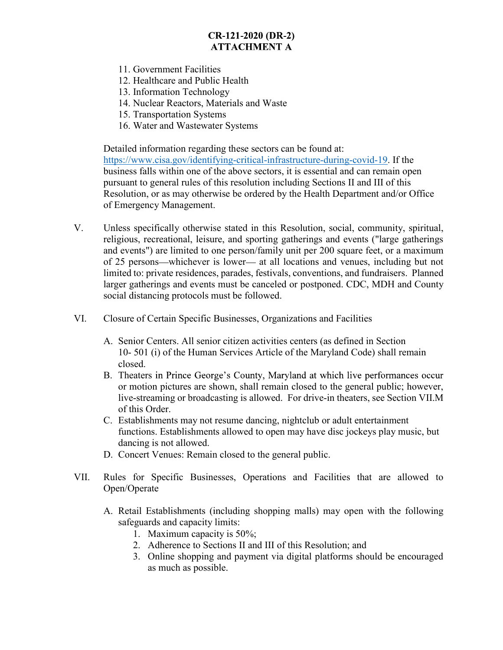- 11. Government Facilities
- 12. Healthcare and Public Health
- 13. Information Technology
- 14. Nuclear Reactors, Materials and Waste
- 15. Transportation Systems
- 16. Water and Wastewater Systems

Detailed information regarding these sectors can be found at: https://www.cisa.gov/identifying-critical-infrastructure-during-covid-19. If the business falls within one of the above sectors, it is essential and can remain open pursuant to general rules of this resolution including Sections II and III of this Resolution, or as may otherwise be ordered by the Health Department and/or Office of Emergency Management.

- V. Unless specifically otherwise stated in this Resolution, social, community, spiritual, religious, recreational, leisure, and sporting gatherings and events ("large gatherings and events") are limited to one person/family unit per 200 square feet, or a maximum of 25 persons—whichever is lower— at all locations and venues, including but not limited to: private residences, parades, festivals, conventions, and fundraisers. Planned larger gatherings and events must be canceled or postponed. CDC, MDH and County social distancing protocols must be followed.
- VI. Closure of Certain Specific Businesses, Organizations and Facilities
	- A. Senior Centers. All senior citizen activities centers (as defined in Section 10- 501 (i) of the Human Services Article of the Maryland Code) shall remain closed.
	- B. Theaters in Prince George's County, Maryland at which live performances occur or motion pictures are shown, shall remain closed to the general public; however, live-streaming or broadcasting is allowed. For drive-in theaters, see Section VII.M of this Order.
	- C. Establishments may not resume dancing, nightclub or adult entertainment functions. Establishments allowed to open may have disc jockeys play music, but dancing is not allowed.
	- D. Concert Venues: Remain closed to the general public.
- VII. Rules for Specific Businesses, Operations and Facilities that are allowed to Open/Operate
	- A. Retail Establishments (including shopping malls) may open with the following safeguards and capacity limits:
		- 1. Maximum capacity is 50%;
		- 2. Adherence to Sections II and III of this Resolution; and
		- 3. Online shopping and payment via digital platforms should be encouraged as much as possible.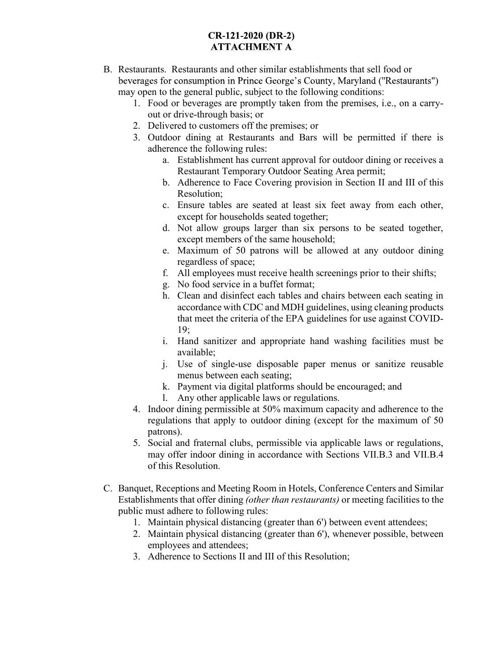- B. Restaurants. Restaurants and other similar establishments that sell food or beverages for consumption in Prince George's County, Maryland ("Restaurants") may open to the general public, subject to the following conditions:
	- 1. Food or beverages are promptly taken from the premises, i.e., on a carryout or drive-through basis; or
	- 2. Delivered to customers off the premises; or
	- 3. Outdoor dining at Restaurants and Bars will be permitted if there is adherence the following rules:
		- a. Establishment has current approval for outdoor dining or receives a Restaurant Temporary Outdoor Seating Area permit;
		- b. Adherence to Face Covering provision in Section II and III of this Resolution;
		- c. Ensure tables are seated at least six feet away from each other, except for households seated together;
		- d. Not allow groups larger than six persons to be seated together, except members of the same household;
		- e. Maximum of 50 patrons will be allowed at any outdoor dining regardless of space;
		- f. All employees must receive health screenings prior to their shifts;
		- g. No food service in a buffet format;
		- h. Clean and disinfect each tables and chairs between each seating in accordance with CDC and MDH guidelines, using cleaning products that meet the criteria of the EPA guidelines for use against COVID-19;
		- i. Hand sanitizer and appropriate hand washing facilities must be available;
		- j. Use of single-use disposable paper menus or sanitize reusable menus between each seating;
		- k. Payment via digital platforms should be encouraged; and
		- l. Any other applicable laws or regulations.
	- 4. Indoor dining permissible at 50% maximum capacity and adherence to the regulations that apply to outdoor dining (except for the maximum of 50 patrons).
	- 5. Social and fraternal clubs, permissible via applicable laws or regulations, may offer indoor dining in accordance with Sections VII.B.3 and VII.B.4 of this Resolution.
- C. Banquet, Receptions and Meeting Room in Hotels, Conference Centers and Similar Establishments that offer dining (other than restaurants) or meeting facilities to the public must adhere to following rules:
	- 1. Maintain physical distancing (greater than 6') between event attendees;
	- 2. Maintain physical distancing (greater than 6'), whenever possible, between employees and attendees;
	- 3. Adherence to Sections II and III of this Resolution;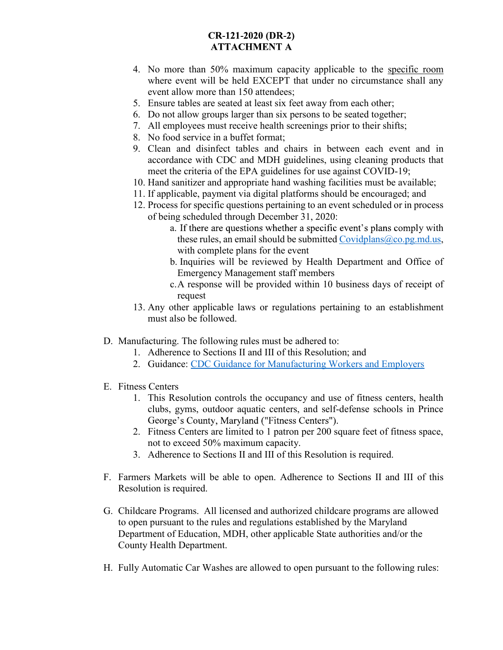- 4. No more than 50% maximum capacity applicable to the specific room where event will be held EXCEPT that under no circumstance shall any event allow more than 150 attendees;
- 5. Ensure tables are seated at least six feet away from each other;
- 6. Do not allow groups larger than six persons to be seated together;
- 7. All employees must receive health screenings prior to their shifts;
- 8. No food service in a buffet format;
- 9. Clean and disinfect tables and chairs in between each event and in accordance with CDC and MDH guidelines, using cleaning products that meet the criteria of the EPA guidelines for use against COVID-19;
- 10. Hand sanitizer and appropriate hand washing facilities must be available;
- 11. If applicable, payment via digital platforms should be encouraged; and
- 12. Process for specific questions pertaining to an event scheduled or in process of being scheduled through December 31, 2020:
	- a. If there are questions whether a specific event's plans comply with these rules, an email should be submitted Covidplans@co.pg.md.us, with complete plans for the event
	- b. Inquiries will be reviewed by Health Department and Office of Emergency Management staff members
	- c.A response will be provided within 10 business days of receipt of request
- 13. Any other applicable laws or regulations pertaining to an establishment must also be followed.
- D. Manufacturing. The following rules must be adhered to:
	- 1. Adherence to Sections II and III of this Resolution; and
	- 2. Guidance: CDC Guidance for Manufacturing Workers and Employers
- E. Fitness Centers
	- 1. This Resolution controls the occupancy and use of fitness centers, health clubs, gyms, outdoor aquatic centers, and self-defense schools in Prince George's County, Maryland ("Fitness Centers").
	- 2. Fitness Centers are limited to 1 patron per 200 square feet of fitness space, not to exceed 50% maximum capacity.
	- 3. Adherence to Sections II and III of this Resolution is required.
- F. Farmers Markets will be able to open. Adherence to Sections II and III of this Resolution is required.
- G. Childcare Programs. All licensed and authorized childcare programs are allowed to open pursuant to the rules and regulations established by the Maryland Department of Education, MDH, other applicable State authorities and/or the County Health Department.
- H. Fully Automatic Car Washes are allowed to open pursuant to the following rules: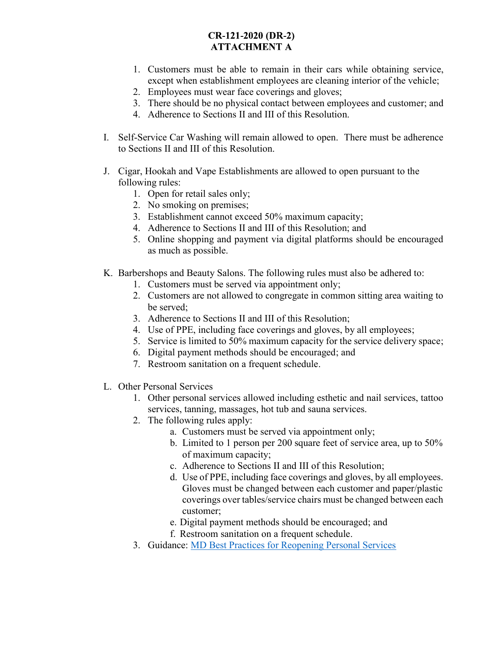- 1. Customers must be able to remain in their cars while obtaining service, except when establishment employees are cleaning interior of the vehicle;
- 2. Employees must wear face coverings and gloves;
- 3. There should be no physical contact between employees and customer; and
- 4. Adherence to Sections II and III of this Resolution.
- I. Self-Service Car Washing will remain allowed to open. There must be adherence to Sections II and III of this Resolution.
- J. Cigar, Hookah and Vape Establishments are allowed to open pursuant to the following rules:
	- 1. Open for retail sales only;
	- 2. No smoking on premises;
	- 3. Establishment cannot exceed 50% maximum capacity;
	- 4. Adherence to Sections II and III of this Resolution; and
	- 5. Online shopping and payment via digital platforms should be encouraged as much as possible.
- K. Barbershops and Beauty Salons. The following rules must also be adhered to:
	- 1. Customers must be served via appointment only;
	- 2. Customers are not allowed to congregate in common sitting area waiting to be served;
	- 3. Adherence to Sections II and III of this Resolution;
	- 4. Use of PPE, including face coverings and gloves, by all employees;
	- 5. Service is limited to 50% maximum capacity for the service delivery space;
	- 6. Digital payment methods should be encouraged; and
	- 7. Restroom sanitation on a frequent schedule.
- L. Other Personal Services
	- 1. Other personal services allowed including esthetic and nail services, tattoo services, tanning, massages, hot tub and sauna services.
	- 2. The following rules apply:
		- a. Customers must be served via appointment only;
		- b. Limited to 1 person per 200 square feet of service area, up to 50% of maximum capacity;
		- c. Adherence to Sections II and III of this Resolution;
		- d. Use of PPE, including face coverings and gloves, by all employees. Gloves must be changed between each customer and paper/plastic coverings over tables/service chairs must be changed between each customer;
		- e. Digital payment methods should be encouraged; and
		- f. Restroom sanitation on a frequent schedule.
	- 3. Guidance: MD Best Practices for Reopening Personal Services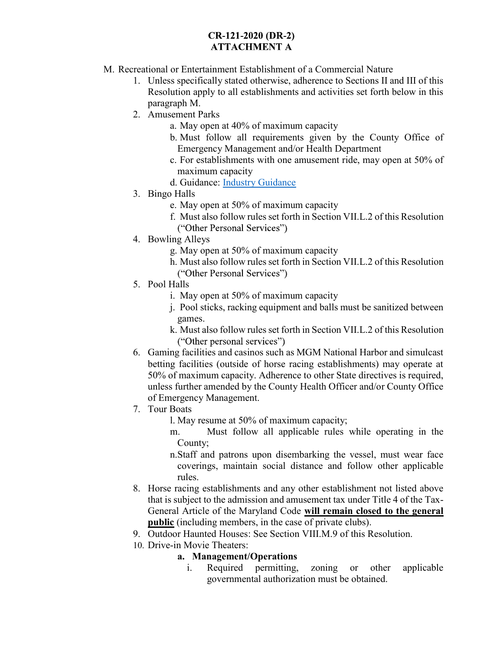- M. Recreational or Entertainment Establishment of a Commercial Nature
	- 1. Unless specifically stated otherwise, adherence to Sections II and III of this Resolution apply to all establishments and activities set forth below in this paragraph M.
	- 2. Amusement Parks
		- a. May open at 40% of maximum capacity
		- b. Must follow all requirements given by the County Office of Emergency Management and/or Health Department
		- c. For establishments with one amusement ride, may open at 50% of maximum capacity
		- d. Guidance: Industry Guidance
	- 3. Bingo Halls
		- e. May open at 50% of maximum capacity
		- f. Must also follow rules set forth in Section VII.L.2 of this Resolution
		- ("Other Personal Services")
	- 4. Bowling Alleys
		- g. May open at 50% of maximum capacity
		- h. Must also follow rules set forth in Section VII.L.2 of this Resolution ("Other Personal Services")
	- 5. Pool Halls
		- i. May open at 50% of maximum capacity
		- j. Pool sticks, racking equipment and balls must be sanitized between games.
		- k. Must also follow rules set forth in Section VII.L.2 of this Resolution ("Other personal services")
	- 6. Gaming facilities and casinos such as MGM National Harbor and simulcast betting facilities (outside of horse racing establishments) may operate at 50% of maximum capacity. Adherence to other State directives is required, unless further amended by the County Health Officer and/or County Office of Emergency Management.
	- 7. Tour Boats
		- l. May resume at 50% of maximum capacity;
		- m. Must follow all applicable rules while operating in the County;
		- n.Staff and patrons upon disembarking the vessel, must wear face coverings, maintain social distance and follow other applicable rules.
	- 8. Horse racing establishments and any other establishment not listed above that is subject to the admission and amusement tax under Title 4 of the Tax-General Article of the Maryland Code will remain closed to the general public (including members, in the case of private clubs).
	- 9. Outdoor Haunted Houses: See Section VIII.M.9 of this Resolution.
	- 10. Drive-in Movie Theaters:

### a. Management/Operations

i. Required permitting, zoning or other applicable governmental authorization must be obtained.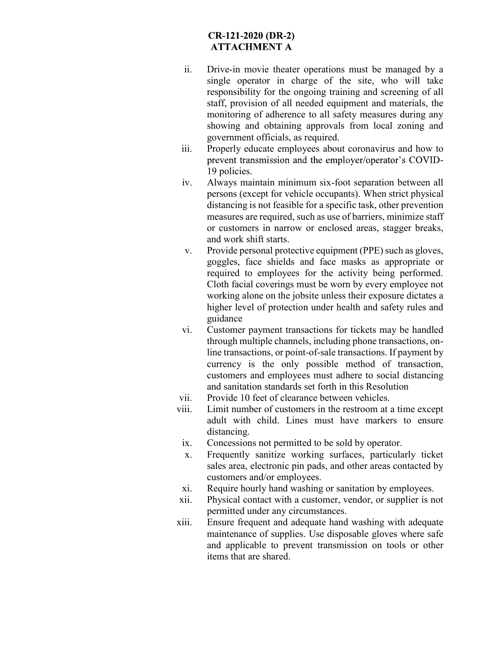- ii. Drive-in movie theater operations must be managed by a single operator in charge of the site, who will take responsibility for the ongoing training and screening of all staff, provision of all needed equipment and materials, the monitoring of adherence to all safety measures during any showing and obtaining approvals from local zoning and government officials, as required.
- iii. Properly educate employees about coronavirus and how to prevent transmission and the employer/operator's COVID-19 policies.
- iv. Always maintain minimum six-foot separation between all persons (except for vehicle occupants). When strict physical distancing is not feasible for a specific task, other prevention measures are required, such as use of barriers, minimize staff or customers in narrow or enclosed areas, stagger breaks, and work shift starts.
- v. Provide personal protective equipment (PPE) such as gloves, goggles, face shields and face masks as appropriate or required to employees for the activity being performed. Cloth facial coverings must be worn by every employee not working alone on the jobsite unless their exposure dictates a higher level of protection under health and safety rules and guidance
- vi. Customer payment transactions for tickets may be handled through multiple channels, including phone transactions, online transactions, or point-of-sale transactions. If payment by currency is the only possible method of transaction, customers and employees must adhere to social distancing and sanitation standards set forth in this Resolution
- vii. Provide 10 feet of clearance between vehicles.
- viii. Limit number of customers in the restroom at a time except adult with child. Lines must have markers to ensure distancing.
	- ix. Concessions not permitted to be sold by operator.
	- x. Frequently sanitize working surfaces, particularly ticket sales area, electronic pin pads, and other areas contacted by customers and/or employees.
	- xi. Require hourly hand washing or sanitation by employees.
- xii. Physical contact with a customer, vendor, or supplier is not permitted under any circumstances.
- xiii. Ensure frequent and adequate hand washing with adequate maintenance of supplies. Use disposable gloves where safe and applicable to prevent transmission on tools or other items that are shared.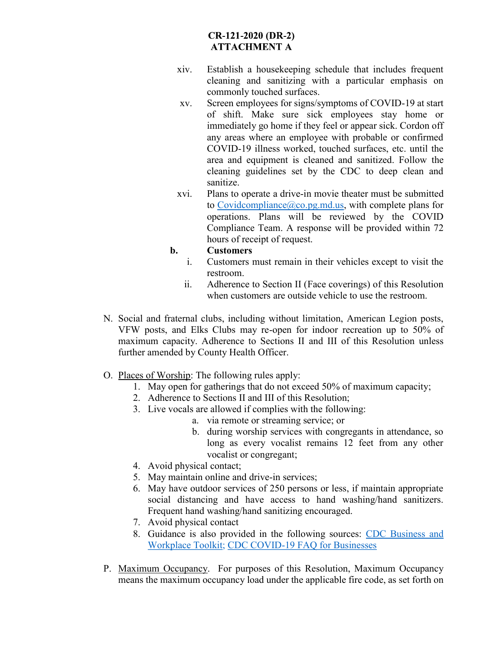- xiv. Establish a housekeeping schedule that includes frequent cleaning and sanitizing with a particular emphasis on commonly touched surfaces.
- xv. Screen employees for signs/symptoms of COVID-19 at start of shift. Make sure sick employees stay home or immediately go home if they feel or appear sick. Cordon off any areas where an employee with probable or confirmed COVID-19 illness worked, touched surfaces, etc. until the area and equipment is cleaned and sanitized. Follow the cleaning guidelines set by the CDC to deep clean and sanitize.
- xvi. Plans to operate a drive-in movie theater must be submitted to Covidcompliance  $(a)$  co.pg.md.us, with complete plans for operations. Plans will be reviewed by the COVID Compliance Team. A response will be provided within 72 hours of receipt of request.

#### b. Customers

- i. Customers must remain in their vehicles except to visit the restroom.
- ii. Adherence to Section II (Face coverings) of this Resolution when customers are outside vehicle to use the restroom.
- N. Social and fraternal clubs, including without limitation, American Legion posts, VFW posts, and Elks Clubs may re-open for indoor recreation up to 50% of maximum capacity. Adherence to Sections II and III of this Resolution unless further amended by County Health Officer.
- O. Places of Worship: The following rules apply:
	- 1. May open for gatherings that do not exceed 50% of maximum capacity;
	- 2. Adherence to Sections II and III of this Resolution;
	- 3. Live vocals are allowed if complies with the following:
		- a. via remote or streaming service; or
		- b. during worship services with congregants in attendance, so long as every vocalist remains 12 feet from any other vocalist or congregant;
	- 4. Avoid physical contact;
	- 5. May maintain online and drive-in services;
	- 6. May have outdoor services of 250 persons or less, if maintain appropriate social distancing and have access to hand washing/hand sanitizers. Frequent hand washing/hand sanitizing encouraged.
	- 7. Avoid physical contact
	- 8. Guidance is also provided in the following sources: CDC Business and Workplace Toolkit; CDC COVID-19 FAQ for Businesses
- P. Maximum Occupancy. For purposes of this Resolution, Maximum Occupancy means the maximum occupancy load under the applicable fire code, as set forth on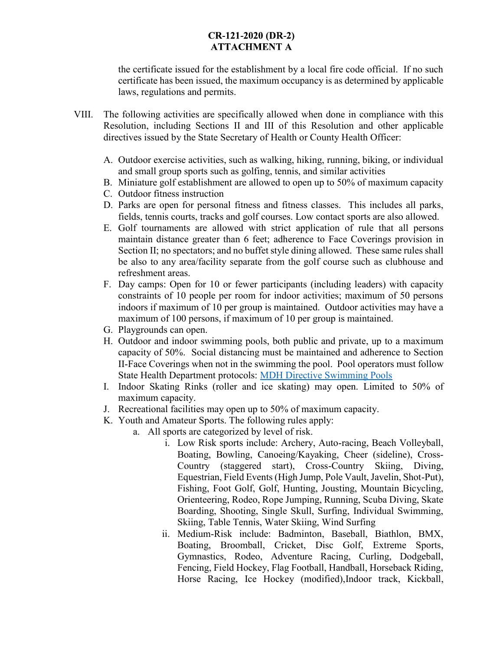the certificate issued for the establishment by a local fire code official. If no such certificate has been issued, the maximum occupancy is as determined by applicable laws, regulations and permits.

- VIII. The following activities are specifically allowed when done in compliance with this Resolution, including Sections II and III of this Resolution and other applicable directives issued by the State Secretary of Health or County Health Officer:
	- A. Outdoor exercise activities, such as walking, hiking, running, biking, or individual and small group sports such as golfing, tennis, and similar activities
	- B. Miniature golf establishment are allowed to open up to 50% of maximum capacity
	- C. Outdoor fitness instruction
	- D. Parks are open for personal fitness and fitness classes. This includes all parks, fields, tennis courts, tracks and golf courses. Low contact sports are also allowed.
	- E. Golf tournaments are allowed with strict application of rule that all persons maintain distance greater than 6 feet; adherence to Face Coverings provision in Section II; no spectators; and no buffet style dining allowed. These same rules shall be also to any area/facility separate from the golf course such as clubhouse and refreshment areas.
	- F. Day camps: Open for 10 or fewer participants (including leaders) with capacity constraints of 10 people per room for indoor activities; maximum of 50 persons indoors if maximum of 10 per group is maintained. Outdoor activities may have a maximum of 100 persons, if maximum of 10 per group is maintained.
	- G. Playgrounds can open.
	- H. Outdoor and indoor swimming pools, both public and private, up to a maximum capacity of 50%. Social distancing must be maintained and adherence to Section II-Face Coverings when not in the swimming the pool. Pool operators must follow State Health Department protocols: MDH Directive Swimming Pools
	- I. Indoor Skating Rinks (roller and ice skating) may open. Limited to 50% of maximum capacity.
	- J. Recreational facilities may open up to 50% of maximum capacity.
	- K. Youth and Amateur Sports. The following rules apply:
		- a. All sports are categorized by level of risk.
			- i. Low Risk sports include: Archery, Auto-racing, Beach Volleyball, Boating, Bowling, Canoeing/Kayaking, Cheer (sideline), Cross-Country (staggered start), Cross-Country Skiing, Diving, Equestrian, Field Events (High Jump, Pole Vault, Javelin, Shot-Put), Fishing, Foot Golf, Golf, Hunting, Jousting, Mountain Bicycling, Orienteering, Rodeo, Rope Jumping, Running, Scuba Diving, Skate Boarding, Shooting, Single Skull, Surfing, Individual Swimming, Skiing, Table Tennis, Water Skiing, Wind Surfing
			- ii. Medium-Risk include: Badminton, Baseball, Biathlon, BMX, Boating, Broomball, Cricket, Disc Golf, Extreme Sports, Gymnastics, Rodeo, Adventure Racing, Curling, Dodgeball, Fencing, Field Hockey, Flag Football, Handball, Horseback Riding, Horse Racing, Ice Hockey (modified),Indoor track, Kickball,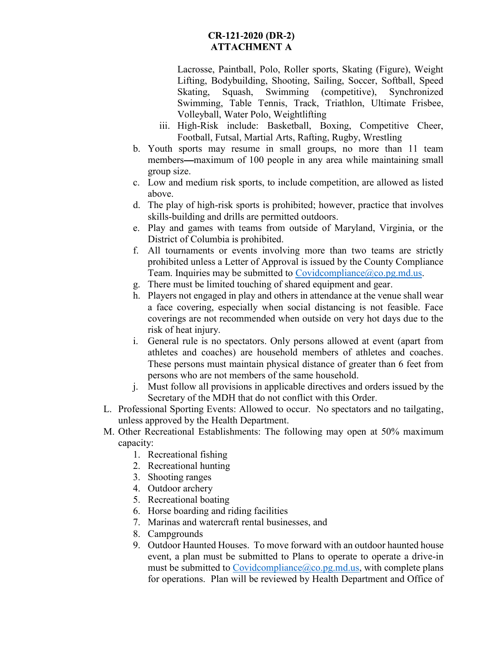Lacrosse, Paintball, Polo, Roller sports, Skating (Figure), Weight Lifting, Bodybuilding, Shooting, Sailing, Soccer, Softball, Speed Skating, Squash, Swimming (competitive), Synchronized Swimming, Table Tennis, Track, Triathlon, Ultimate Frisbee, Volleyball, Water Polo, Weightlifting

- iii. High-Risk include: Basketball, Boxing, Competitive Cheer, Football, Futsal, Martial Arts, Rafting, Rugby, Wrestling
- b. Youth sports may resume in small groups, no more than 11 team members—maximum of 100 people in any area while maintaining small group size.
- c. Low and medium risk sports, to include competition, are allowed as listed above.
- d. The play of high-risk sports is prohibited; however, practice that involves skills-building and drills are permitted outdoors.
- e. Play and games with teams from outside of Maryland, Virginia, or the District of Columbia is prohibited.
- f. All tournaments or events involving more than two teams are strictly prohibited unless a Letter of Approval is issued by the County Compliance Team. Inquiries may be submitted to Covidcompliance@co.pg.md.us. g. There must be limited touching of shared equipment and gear.
- 
- h. Players not engaged in play and others in attendance at the venue shall wear a face covering, especially when social distancing is not feasible. Face coverings are not recommended when outside on very hot days due to the risk of heat injury.
- i. General rule is no spectators. Only persons allowed at event (apart from athletes and coaches) are household members of athletes and coaches. These persons must maintain physical distance of greater than 6 feet from persons who are not members of the same household.
- j. Must follow all provisions in applicable directives and orders issued by the Secretary of the MDH that do not conflict with this Order.
- L. Professional Sporting Events: Allowed to occur. No spectators and no tailgating, unless approved by the Health Department.
- M. Other Recreational Establishments: The following may open at 50% maximum capacity:
	- 1. Recreational fishing
	- 2. Recreational hunting
	- 3. Shooting ranges
	- 4. Outdoor archery
	- 5. Recreational boating
	- 6. Horse boarding and riding facilities
	- 7. Marinas and watercraft rental businesses, and
	- 8. Campgrounds
	- 9. Outdoor Haunted Houses. To move forward with an outdoor haunted house event, a plan must be submitted to Plans to operate to operate a drive-in must be submitted to  $Covidcompile(\partial_{c} \circ \text{log} \cdot \text{mod} \cdot \text{us})$ , with complete plans for operations. Plan will be reviewed by Health Department and Office of